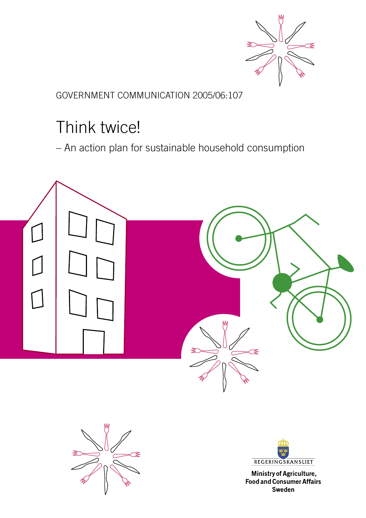

GOVERNMENT COMMUNICATION 2005/06:107

# Think twice!

– An action plan for sustainable household consumption







Ministry of Agriculture, **Food and Consumer Affairs Sweden**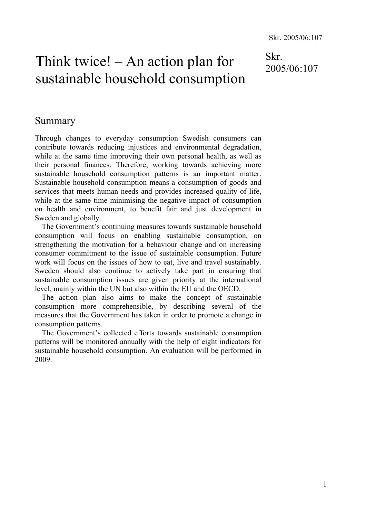Think twice! – An action plan for sustainable household consumption Skr.

2005/06:107

# Summary

Through changes to everyday consumption Swedish consumers can contribute towards reducing injustices and environmental degradation, while at the same time improving their own personal health, as well as their personal finances. Therefore, working towards achieving more sustainable household consumption patterns is an important matter. Sustainable household consumption means a consumption of goods and services that meets human needs and provides increased quality of life, while at the same time minimising the negative impact of consumption on health and environment, to benefit fair and just development in Sweden and globally.

The Government's continuing measures towards sustainable household consumption will focus on enabling sustainable consumption, on strengthening the motivation for a behaviour change and on increasing consumer commitment to the issue of sustainable consumption. Future work will focus on the issues of how to eat, live and travel sustainably. Sweden should also continue to actively take part in ensuring that sustainable consumption issues are given priority at the international level, mainly within the UN but also within the EU and the OECD.

The action plan also aims to make the concept of sustainable consumption more comprehensible, by describing several of the measures that the Government has taken in order to promote a change in consumption patterns.

The Government's collected efforts towards sustainable consumption patterns will be monitored annually with the help of eight indicators for sustainable household consumption. An evaluation will be performed in 2009.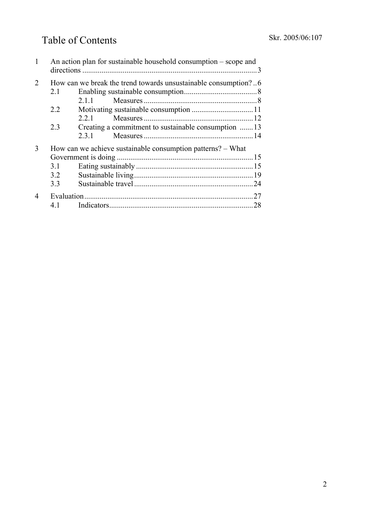# Table of Contents

|                             |                                                                 | An action plan for sustainable household consumption – scope and |  |  |
|-----------------------------|-----------------------------------------------------------------|------------------------------------------------------------------|--|--|
| $\mathcal{D}_{\mathcal{L}}$ | How can we break the trend towards unsustainable consumption? 6 |                                                                  |  |  |
|                             | 2.1                                                             |                                                                  |  |  |
|                             |                                                                 | 2.1.1                                                            |  |  |
|                             | 2.2                                                             |                                                                  |  |  |
|                             |                                                                 | 2.2.1                                                            |  |  |
|                             | 2.3                                                             | Creating a commitment to sustainable consumption 13              |  |  |
|                             |                                                                 | 2.3.1                                                            |  |  |
| 3                           | How can we achieve sustainable consumption patterns? – What     |                                                                  |  |  |
|                             |                                                                 |                                                                  |  |  |
|                             | 3.1                                                             |                                                                  |  |  |
|                             | 3.2                                                             |                                                                  |  |  |
|                             | 3.3                                                             |                                                                  |  |  |
|                             |                                                                 |                                                                  |  |  |
|                             | 41                                                              |                                                                  |  |  |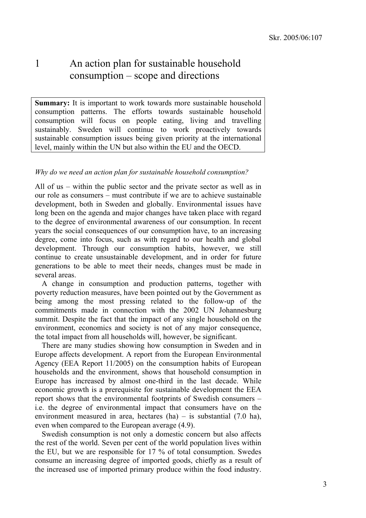# 1 An action plan for sustainable household consumption – scope and directions

Summary: It is important to work towards more sustainable household consumption patterns. The efforts towards sustainable household consumption will focus on people eating, living and travelling sustainably. Sweden will continue to work proactively towards sustainable consumption issues being given priority at the international level, mainly within the UN but also within the EU and the OECD.

#### *Why do we need an action plan for sustainable household consumption?*

All of us – within the public sector and the private sector as well as in our role as consumers – must contribute if we are to achieve sustainable development, both in Sweden and globally. Environmental issues have long been on the agenda and major changes have taken place with regard to the degree of environmental awareness of our consumption. In recent years the social consequences of our consumption have, to an increasing degree, come into focus, such as with regard to our health and global development. Through our consumption habits, however, we still continue to create unsustainable development, and in order for future generations to be able to meet their needs, changes must be made in several areas.

A change in consumption and production patterns, together with poverty reduction measures, have been pointed out by the Government as being among the most pressing related to the follow-up of the commitments made in connection with the 2002 UN Johannesburg summit. Despite the fact that the impact of any single household on the environment, economics and society is not of any major consequence, the total impact from all households will, however, be significant.

There are many studies showing how consumption in Sweden and in Europe affects development. A report from the European Environmental Agency (EEA Report 11/2005) on the consumption habits of European households and the environment, shows that household consumption in Europe has increased by almost one-third in the last decade. While economic growth is a prerequisite for sustainable development the EEA report shows that the environmental footprints of Swedish consumers – i.e. the degree of environmental impact that consumers have on the environment measured in area, hectares (ha) – is substantial (7.0 ha), even when compared to the European average (4.9).

Swedish consumption is not only a domestic concern but also affects the rest of the world. Seven per cent of the world population lives within the EU, but we are responsible for 17 % of total consumption. Swedes consume an increasing degree of imported goods, chiefly as a result of the increased use of imported primary produce within the food industry.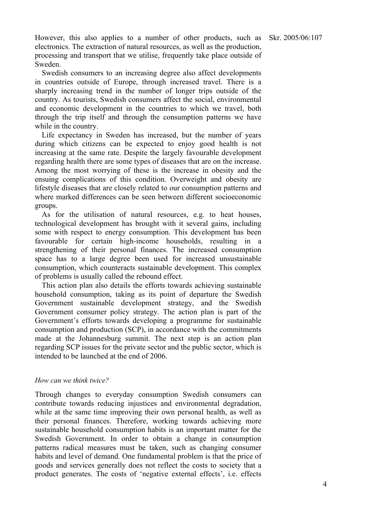However, this also applies to a number of other products, such as electronics. The extraction of natural resources, as well as the production, processing and transport that we utilise, frequently take place outside of Sweden.

Swedish consumers to an increasing degree also affect developments in countries outside of Europe, through increased travel. There is a sharply increasing trend in the number of longer trips outside of the country. As tourists, Swedish consumers affect the social, environmental and economic development in the countries to which we travel, both through the trip itself and through the consumption patterns we have while in the country.

Life expectancy in Sweden has increased, but the number of years during which citizens can be expected to enjoy good health is not increasing at the same rate. Despite the largely favourable development regarding health there are some types of diseases that are on the increase. Among the most worrying of these is the increase in obesity and the ensuing complications of this condition. Overweight and obesity are lifestyle diseases that are closely related to our consumption patterns and where marked differences can be seen between different socioeconomic groups.

As for the utilisation of natural resources, e.g. to heat houses, technological development has brought with it several gains, including some with respect to energy consumption. This development has been favourable for certain high-income households, resulting in a strengthening of their personal finances. The increased consumption space has to a large degree been used for increased unsustainable consumption, which counteracts sustainable development. This complex of problems is usually called the rebound effect.

This action plan also details the efforts towards achieving sustainable household consumption, taking as its point of departure the Swedish Government sustainable development strategy, and the Swedish Government consumer policy strategy. The action plan is part of the Government's efforts towards developing a programme for sustainable consumption and production (SCP), in accordance with the commitments made at the Johannesburg summit. The next step is an action plan regarding SCP issues for the private sector and the public sector, which is intended to be launched at the end of 2006.

#### *How can we think twice?*

Through changes to everyday consumption Swedish consumers can contribute towards reducing injustices and environmental degradation, while at the same time improving their own personal health, as well as their personal finances. Therefore, working towards achieving more sustainable household consumption habits is an important matter for the Swedish Government. In order to obtain a change in consumption patterns radical measures must be taken, such as changing consumer habits and level of demand. One fundamental problem is that the price of goods and services generally does not reflect the costs to society that a product generates. The costs of 'negative external effects', i.e. effects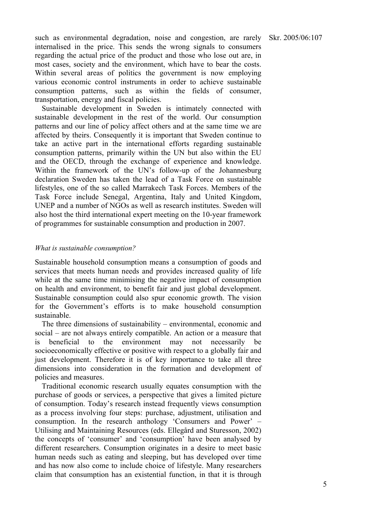such as environmental degradation, noise and congestion, are rarely internalised in the price. This sends the wrong signals to consumers regarding the actual price of the product and those who lose out are, in most cases, society and the environment, which have to bear the costs. Within several areas of politics the government is now employing various economic control instruments in order to achieve sustainable consumption patterns, such as within the fields of consumer, transportation, energy and fiscal policies.

Sustainable development in Sweden is intimately connected with sustainable development in the rest of the world. Our consumption patterns and our line of policy affect others and at the same time we are affected by theirs. Consequently it is important that Sweden continue to take an active part in the international efforts regarding sustainable consumption patterns, primarily within the UN but also within the EU and the OECD, through the exchange of experience and knowledge. Within the framework of the UN's follow-up of the Johannesburg declaration Sweden has taken the lead of a Task Force on sustainable lifestyles, one of the so called Marrakech Task Forces. Members of the Task Force include Senegal, Argentina, Italy and United Kingdom, UNEP and a number of NGOs as well as research institutes. Sweden will also host the third international expert meeting on the 10-year framework of programmes for sustainable consumption and production in 2007.

#### *What is sustainable consumption?*

Sustainable household consumption means a consumption of goods and services that meets human needs and provides increased quality of life while at the same time minimising the negative impact of consumption on health and environment, to benefit fair and just global development. Sustainable consumption could also spur economic growth. The vision for the Government's efforts is to make household consumption sustainable.

The three dimensions of sustainability – environmental, economic and social – are not always entirely compatible. An action or a measure that is beneficial to the environment may not necessarily be socioeconomically effective or positive with respect to a globally fair and just development. Therefore it is of key importance to take all three dimensions into consideration in the formation and development of policies and measures.

Traditional economic research usually equates consumption with the purchase of goods or services, a perspective that gives a limited picture of consumption. Today's research instead frequently views consumption as a process involving four steps: purchase, adjustment, utilisation and consumption. In the research anthology 'Consumers and Power' – Utilising and Maintaining Resources (eds. Ellegård and Sturesson, 2002) the concepts of 'consumer' and 'consumption' have been analysed by different researchers. Consumption originates in a desire to meet basic human needs such as eating and sleeping, but has developed over time and has now also come to include choice of lifestyle. Many researchers claim that consumption has an existential function, in that it is through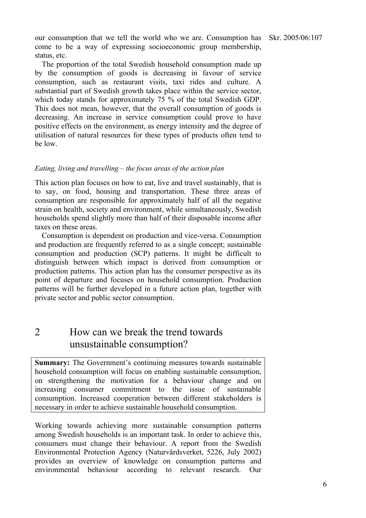our consumption that we tell the world who we are. Consumption has come to be a way of expressing socioeconomic group membership, status, etc.

The proportion of the total Swedish household consumption made up by the consumption of goods is decreasing in favour of service consumption, such as restaurant visits, taxi rides and culture. A substantial part of Swedish growth takes place within the service sector, which today stands for approximately 75 % of the total Swedish GDP. This does not mean, however, that the overall consumption of goods is decreasing. An increase in service consumption could prove to have positive effects on the environment, as energy intensity and the degree of utilisation of natural resources for these types of products often tend to be low.

#### *Eating, living and travelling – the focus areas of the action plan*

This action plan focuses on how to eat, live and travel sustainably, that is to say, on food, housing and transportation. These three areas of consumption are responsible for approximately half of all the negative strain on health, society and environment, while simultaneously, Swedish households spend slightly more than half of their disposable income after taxes on these areas.

Consumption is dependent on production and vice-versa. Consumption and production are frequently referred to as a single concept; sustainable consumption and production (SCP) patterns. It might be difficult to distinguish between which impact is derived from consumption or production patterns. This action plan has the consumer perspective as its point of departure and focuses on household consumption. Production patterns will be further developed in a future action plan, together with private sector and public sector consumption.

# 2 How can we break the trend towards unsustainable consumption?

**Summary:** The Government's continuing measures towards sustainable household consumption will focus on enabling sustainable consumption, on strengthening the motivation for a behaviour change and on increasing consumer commitment to the issue of sustainable consumption. Increased cooperation between different stakeholders is necessary in order to achieve sustainable household consumption.

Working towards achieving more sustainable consumption patterns among Swedish households is an important task. In order to achieve this, consumers must change their behaviour. A report from the Swedish Environmental Protection Agency (Naturvårdsverket, 5226, July 2002) provides an overview of knowledge on consumption patterns and environmental behaviour according to relevant research. Our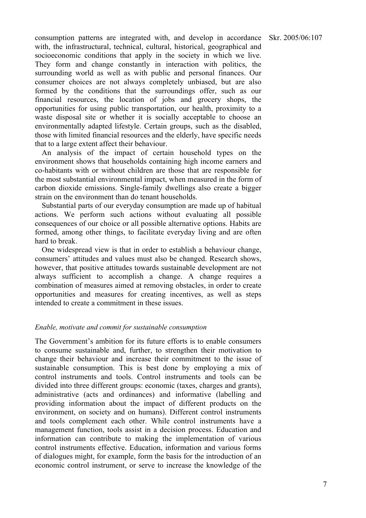Skr. 2005/06:107

consumption patterns are integrated with, and develop in accordance with, the infrastructural, technical, cultural, historical, geographical and socioeconomic conditions that apply in the society in which we live. They form and change constantly in interaction with politics, the surrounding world as well as with public and personal finances. Our consumer choices are not always completely unbiased, but are also formed by the conditions that the surroundings offer, such as our financial resources, the location of jobs and grocery shops, the opportunities for using public transportation, our health, proximity to a waste disposal site or whether it is socially acceptable to choose an environmentally adapted lifestyle. Certain groups, such as the disabled, those with limited financial resources and the elderly, have specific needs that to a large extent affect their behaviour.

An analysis of the impact of certain household types on the environment shows that households containing high income earners and co-habitants with or without children are those that are responsible for the most substantial environmental impact, when measured in the form of carbon dioxide emissions. Single-family dwellings also create a bigger strain on the environment than do tenant households.

Substantial parts of our everyday consumption are made up of habitual actions. We perform such actions without evaluating all possible consequences of our choice or all possible alternative options. Habits are formed, among other things, to facilitate everyday living and are often hard to break.

One widespread view is that in order to establish a behaviour change, consumers' attitudes and values must also be changed. Research shows, however, that positive attitudes towards sustainable development are not always sufficient to accomplish a change. A change requires a combination of measures aimed at removing obstacles, in order to create opportunities and measures for creating incentives, as well as steps intended to create a commitment in these issues.

#### *Enable, motivate and commit for sustainable consumption*

The Government's ambition for its future efforts is to enable consumers to consume sustainable and, further, to strengthen their motivation to change their behaviour and increase their commitment to the issue of sustainable consumption. This is best done by employing a mix of control instruments and tools. Control instruments and tools can be divided into three different groups: economic (taxes, charges and grants), administrative (acts and ordinances) and informative (labelling and providing information about the impact of different products on the environment, on society and on humans). Different control instruments and tools complement each other. While control instruments have a management function, tools assist in a decision process. Education and information can contribute to making the implementation of various control instruments effective. Education, information and various forms of dialogues might, for example, form the basis for the introduction of an economic control instrument, or serve to increase the knowledge of the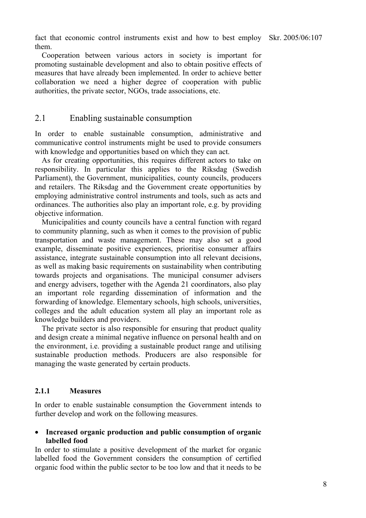fact that economic control instruments exist and how to best employ Skr. 2005/06:107 them.

Cooperation between various actors in society is important for promoting sustainable development and also to obtain positive effects of measures that have already been implemented. In order to achieve better collaboration we need a higher degree of cooperation with public authorities, the private sector, NGOs, trade associations, etc.

# 2.1 Enabling sustainable consumption

In order to enable sustainable consumption, administrative and communicative control instruments might be used to provide consumers with knowledge and opportunities based on which they can act.

As for creating opportunities, this requires different actors to take on responsibility. In particular this applies to the Riksdag (Swedish Parliament), the Government, municipalities, county councils, producers and retailers. The Riksdag and the Government create opportunities by employing administrative control instruments and tools, such as acts and ordinances. The authorities also play an important role, e.g. by providing objective information.

Municipalities and county councils have a central function with regard to community planning, such as when it comes to the provision of public transportation and waste management. These may also set a good example, disseminate positive experiences, prioritise consumer affairs assistance, integrate sustainable consumption into all relevant decisions, as well as making basic requirements on sustainability when contributing towards projects and organisations. The municipal consumer advisers and energy advisers, together with the Agenda 21 coordinators, also play an important role regarding dissemination of information and the forwarding of knowledge. Elementary schools, high schools, universities, colleges and the adult education system all play an important role as knowledge builders and providers.

The private sector is also responsible for ensuring that product quality and design create a minimal negative influence on personal health and on the environment, i.e. providing a sustainable product range and utilising sustainable production methods. Producers are also responsible for managing the waste generated by certain products.

#### **2.1.1 Measures**

In order to enable sustainable consumption the Government intends to further develop and work on the following measures.

### • **Increased organic production and public consumption of organic labelled food**

In order to stimulate a positive development of the market for organic labelled food the Government considers the consumption of certified organic food within the public sector to be too low and that it needs to be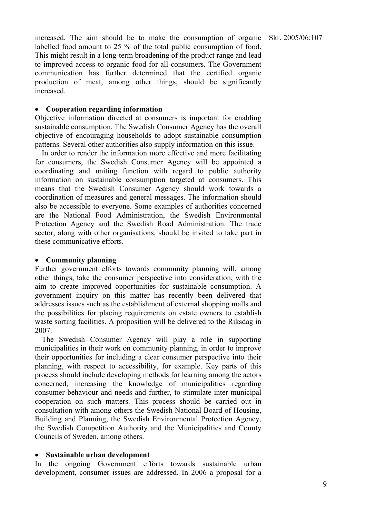increased. The aim should be to make the consumption of organic labelled food amount to 25 % of the total public consumption of food. This might result in a long-term broadening of the product range and lead to improved access to organic food for all consumers. The Government communication has further determined that the certified organic production of meat, among other things, should be significantly increased.

#### • **Cooperation regarding information**

Objective information directed at consumers is important for enabling sustainable consumption. The Swedish Consumer Agency has the overall objective of encouraging households to adopt sustainable consumption patterns. Several other authorities also supply information on this issue.

In order to render the information more effective and more facilitating for consumers, the Swedish Consumer Agency will be appointed a coordinating and uniting function with regard to public authority information on sustainable consumption targeted at consumers. This means that the Swedish Consumer Agency should work towards a coordination of measures and general messages. The information should also be accessible to everyone. Some examples of authorities concerned are the National Food Administration, the Swedish Environmental Protection Agency and the Swedish Road Administration. The trade sector, along with other organisations, should be invited to take part in these communicative efforts.

## • **Community planning**

Further government efforts towards community planning will, among other things, take the consumer perspective into consideration, with the aim to create improved opportunities for sustainable consumption. A government inquiry on this matter has recently been delivered that addresses issues such as the establishment of external shopping malls and the possibilities for placing requirements on estate owners to establish waste sorting facilities. A proposition will be delivered to the Riksdag in 2007.

The Swedish Consumer Agency will play a role in supporting municipalities in their work on community planning, in order to improve their opportunities for including a clear consumer perspective into their planning, with respect to accessibility, for example. Key parts of this process should include developing methods for learning among the actors concerned, increasing the knowledge of municipalities regarding consumer behaviour and needs and further, to stimulate inter-municipal cooperation on such matters. This process should be carried out in consultation with among others the Swedish National Board of Housing, Building and Planning, the Swedish Environmental Protection Agency, the Swedish Competition Authority and the Municipalities and County Councils of Sweden, among others.

# • **Sustainable urban development**

In the ongoing Government efforts towards sustainable urban development, consumer issues are addressed. In 2006 a proposal for a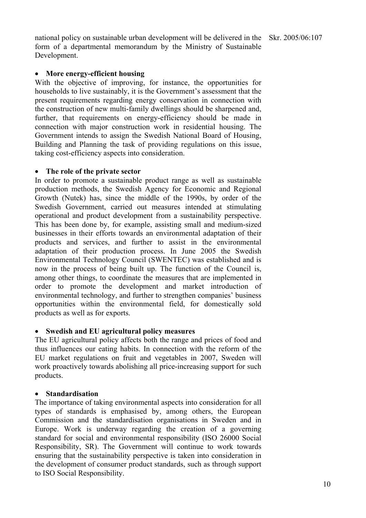national policy on sustainable urban development will be delivered in the Skr. 2005/06:107 form of a departmental memorandum by the Ministry of Sustainable Development.

### • **More energy-efficient housing**

With the objective of improving, for instance, the opportunities for households to live sustainably, it is the Government's assessment that the present requirements regarding energy conservation in connection with the construction of new multi-family dwellings should be sharpened and, further, that requirements on energy-efficiency should be made in connection with major construction work in residential housing. The Government intends to assign the Swedish National Board of Housing, Building and Planning the task of providing regulations on this issue, taking cost-efficiency aspects into consideration.

#### • **The role of the private sector**

In order to promote a sustainable product range as well as sustainable production methods, the Swedish Agency for Economic and Regional Growth (Nutek) has, since the middle of the 1990s, by order of the Swedish Government, carried out measures intended at stimulating operational and product development from a sustainability perspective. This has been done by, for example, assisting small and medium-sized businesses in their efforts towards an environmental adaptation of their products and services, and further to assist in the environmental adaptation of their production process. In June 2005 the Swedish Environmental Technology Council (SWENTEC) was established and is now in the process of being built up. The function of the Council is, among other things, to coordinate the measures that are implemented in order to promote the development and market introduction of environmental technology, and further to strengthen companies' business opportunities within the environmental field, for domestically sold products as well as for exports.

#### • **Swedish and EU agricultural policy measures**

The EU agricultural policy affects both the range and prices of food and thus influences our eating habits. In connection with the reform of the EU market regulations on fruit and vegetables in 2007, Sweden will work proactively towards abolishing all price-increasing support for such products.

#### • **Standardisation**

The importance of taking environmental aspects into consideration for all types of standards is emphasised by, among others, the European Commission and the standardisation organisations in Sweden and in Europe. Work is underway regarding the creation of a governing standard for social and environmental responsibility (ISO 26000 Social Responsibility, SR). The Government will continue to work towards ensuring that the sustainability perspective is taken into consideration in the development of consumer product standards, such as through support to ISO Social Responsibility.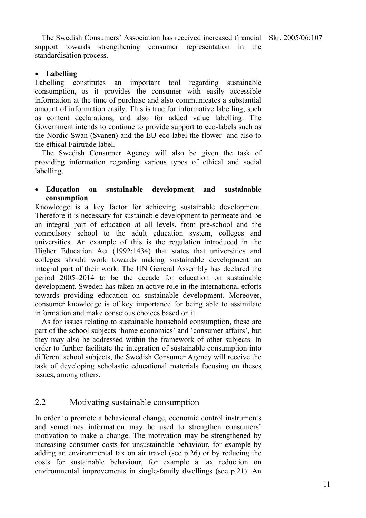The Swedish Consumers' Association has received increased financial Skr. 2005/06:107 support towards strengthening consumer representation in the standardisation process.

### • **Labelling**

Labelling constitutes an important tool regarding sustainable consumption, as it provides the consumer with easily accessible information at the time of purchase and also communicates a substantial amount of information easily. This is true for informative labelling, such as content declarations, and also for added value labelling. The Government intends to continue to provide support to eco-labels such as the Nordic Swan (Svanen) and the EU eco-label the flower and also to the ethical Fairtrade label.

The Swedish Consumer Agency will also be given the task of providing information regarding various types of ethical and social labelling.

## • **Education on sustainable development and sustainable consumption**

Knowledge is a key factor for achieving sustainable development. Therefore it is necessary for sustainable development to permeate and be an integral part of education at all levels, from pre-school and the compulsory school to the adult education system, colleges and universities. An example of this is the regulation introduced in the Higher Education Act (1992:1434) that states that universities and colleges should work towards making sustainable development an integral part of their work. The UN General Assembly has declared the period 2005–2014 to be the decade for education on sustainable development. Sweden has taken an active role in the international efforts towards providing education on sustainable development. Moreover, consumer knowledge is of key importance for being able to assimilate information and make conscious choices based on it.

As for issues relating to sustainable household consumption, these are part of the school subjects 'home economics' and 'consumer affairs', but they may also be addressed within the framework of other subjects. In order to further facilitate the integration of sustainable consumption into different school subjects, the Swedish Consumer Agency will receive the task of developing scholastic educational materials focusing on theses issues, among others.

# 2.2 Motivating sustainable consumption

In order to promote a behavioural change, economic control instruments and sometimes information may be used to strengthen consumers' motivation to make a change. The motivation may be strengthened by increasing consumer costs for unsustainable behaviour, for example by adding an environmental tax on air travel (see p.26) or by reducing the costs for sustainable behaviour, for example a tax reduction on environmental improvements in single-family dwellings (see p.21). An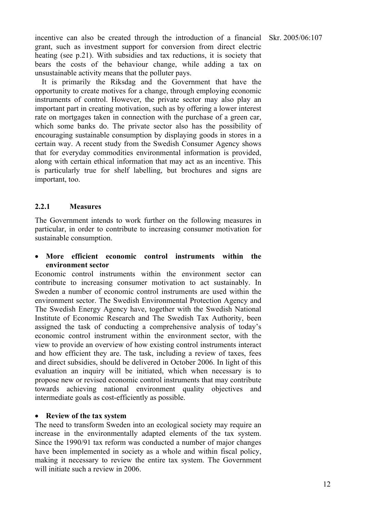incentive can also be created through the introduction of a financial grant, such as investment support for conversion from direct electric heating (see p.21). With subsidies and tax reductions, it is society that bears the costs of the behaviour change, while adding a tax on unsustainable activity means that the polluter pays.

It is primarily the Riksdag and the Government that have the opportunity to create motives for a change, through employing economic instruments of control. However, the private sector may also play an important part in creating motivation, such as by offering a lower interest rate on mortgages taken in connection with the purchase of a green car, which some banks do. The private sector also has the possibility of encouraging sustainable consumption by displaying goods in stores in a certain way. A recent study from the Swedish Consumer Agency shows that for everyday commodities environmental information is provided, along with certain ethical information that may act as an incentive. This is particularly true for shelf labelling, but brochures and signs are important, too.

# **2.2.1 Measures**

The Government intends to work further on the following measures in particular, in order to contribute to increasing consumer motivation for sustainable consumption.

# • **More efficient economic control instruments within the environment sector**

Economic control instruments within the environment sector can contribute to increasing consumer motivation to act sustainably. In Sweden a number of economic control instruments are used within the environment sector. The Swedish Environmental Protection Agency and The Swedish Energy Agency have, together with the Swedish National Institute of Economic Research and The Swedish Tax Authority, been assigned the task of conducting a comprehensive analysis of today's economic control instrument within the environment sector, with the view to provide an overview of how existing control instruments interact and how efficient they are. The task, including a review of taxes, fees and direct subsidies, should be delivered in October 2006. In light of this evaluation an inquiry will be initiated, which when necessary is to propose new or revised economic control instruments that may contribute towards achieving national environment quality objectives and intermediate goals as cost-efficiently as possible.

#### • **Review of the tax system**

The need to transform Sweden into an ecological society may require an increase in the environmentally adapted elements of the tax system. Since the 1990/91 tax reform was conducted a number of major changes have been implemented in society as a whole and within fiscal policy, making it necessary to review the entire tax system. The Government will initiate such a review in 2006.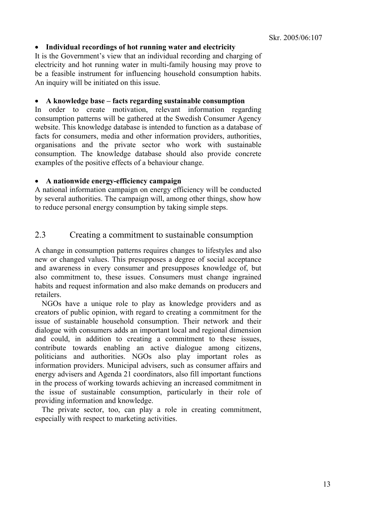#### • **Individual recordings of hot running water and electricity**

It is the Government's view that an individual recording and charging of electricity and hot running water in multi-family housing may prove to be a feasible instrument for influencing household consumption habits. An inquiry will be initiated on this issue.

#### • **A knowledge base – facts regarding sustainable consumption**

In order to create motivation, relevant information regarding consumption patterns will be gathered at the Swedish Consumer Agency website. This knowledge database is intended to function as a database of facts for consumers, media and other information providers, authorities, organisations and the private sector who work with sustainable consumption. The knowledge database should also provide concrete examples of the positive effects of a behaviour change.

#### • **A nationwide energy-efficiency campaign**

A national information campaign on energy efficiency will be conducted by several authorities. The campaign will, among other things, show how to reduce personal energy consumption by taking simple steps.

# 2.3 Creating a commitment to sustainable consumption

A change in consumption patterns requires changes to lifestyles and also new or changed values. This presupposes a degree of social acceptance and awareness in every consumer and presupposes knowledge of, but also commitment to, these issues. Consumers must change ingrained habits and request information and also make demands on producers and retailers.

NGOs have a unique role to play as knowledge providers and as creators of public opinion, with regard to creating a commitment for the issue of sustainable household consumption. Their network and their dialogue with consumers adds an important local and regional dimension and could, in addition to creating a commitment to these issues, contribute towards enabling an active dialogue among citizens, politicians and authorities. NGOs also play important roles as information providers. Municipal advisers, such as consumer affairs and energy advisers and Agenda 21 coordinators, also fill important functions in the process of working towards achieving an increased commitment in the issue of sustainable consumption, particularly in their role of providing information and knowledge.

The private sector, too, can play a role in creating commitment, especially with respect to marketing activities.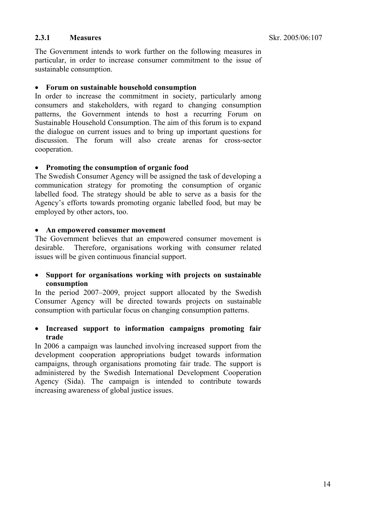# **2.3.1 Measures**

The Government intends to work further on the following measures in particular, in order to increase consumer commitment to the issue of sustainable consumption.

#### • **Forum on sustainable household consumption**

In order to increase the commitment in society, particularly among consumers and stakeholders, with regard to changing consumption patterns, the Government intends to host a recurring Forum on Sustainable Household Consumption. The aim of this forum is to expand the dialogue on current issues and to bring up important questions for discussion. The forum will also create arenas for cross-sector cooperation.

### • **Promoting the consumption of organic food**

The Swedish Consumer Agency will be assigned the task of developing a communication strategy for promoting the consumption of organic labelled food. The strategy should be able to serve as a basis for the Agency's efforts towards promoting organic labelled food, but may be employed by other actors, too.

# • **An empowered consumer movement**

The Government believes that an empowered consumer movement is desirable. Therefore, organisations working with consumer related issues will be given continuous financial support.

• **Support for organisations working with projects on sustainable consumption** 

In the period 2007–2009, project support allocated by the Swedish Consumer Agency will be directed towards projects on sustainable consumption with particular focus on changing consumption patterns.

• **Increased support to information campaigns promoting fair trade** 

In 2006 a campaign was launched involving increased support from the development cooperation appropriations budget towards information campaigns, through organisations promoting fair trade. The support is administered by the Swedish International Development Cooperation Agency (Sida). The campaign is intended to contribute towards increasing awareness of global justice issues.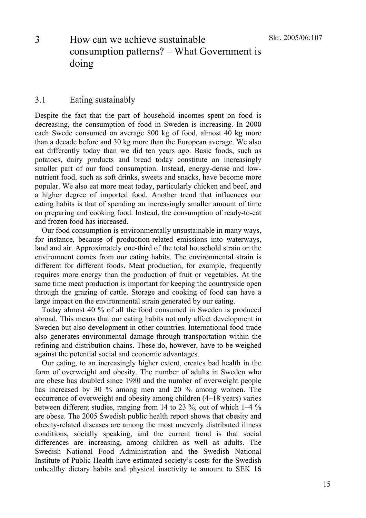# 3 How can we achieve sustainable consumption patterns? – What Government is doing

# 3.1 Eating sustainably

Despite the fact that the part of household incomes spent on food is decreasing, the consumption of food in Sweden is increasing. In 2000 each Swede consumed on average 800 kg of food, almost 40 kg more than a decade before and 30 kg more than the European average. We also eat differently today than we did ten years ago. Basic foods, such as potatoes, dairy products and bread today constitute an increasingly smaller part of our food consumption. Instead, energy-dense and lownutrient food, such as soft drinks, sweets and snacks, have become more popular. We also eat more meat today, particularly chicken and beef, and a higher degree of imported food. Another trend that influences our eating habits is that of spending an increasingly smaller amount of time on preparing and cooking food. Instead, the consumption of ready-to-eat and frozen food has increased.

Our food consumption is environmentally unsustainable in many ways, for instance, because of production-related emissions into waterways, land and air. Approximately one-third of the total household strain on the environment comes from our eating habits. The environmental strain is different for different foods. Meat production, for example, frequently requires more energy than the production of fruit or vegetables. At the same time meat production is important for keeping the countryside open through the grazing of cattle. Storage and cooking of food can have a large impact on the environmental strain generated by our eating.

Today almost 40 % of all the food consumed in Sweden is produced abroad. This means that our eating habits not only affect development in Sweden but also development in other countries. International food trade also generates environmental damage through transportation within the refining and distribution chains. These do, however, have to be weighed against the potential social and economic advantages.

Our eating, to an increasingly higher extent, creates bad health in the form of overweight and obesity. The number of adults in Sweden who are obese has doubled since 1980 and the number of overweight people has increased by 30 % among men and 20 % among women. The occurrence of overweight and obesity among children (4–18 years) varies between different studies, ranging from 14 to 23 %, out of which 1–4 % are obese. The 2005 Swedish public health report shows that obesity and obesity-related diseases are among the most unevenly distributed illness conditions, socially speaking, and the current trend is that social differences are increasing, among children as well as adults. The Swedish National Food Administration and the Swedish National Institute of Public Health have estimated society's costs for the Swedish unhealthy dietary habits and physical inactivity to amount to SEK 16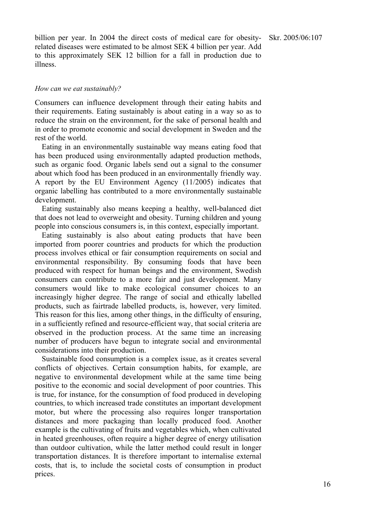billion per year. In 2004 the direct costs of medical care for obesityrelated diseases were estimated to be almost SEK 4 billion per year. Add to this approximately SEK 12 billion for a fall in production due to illness.

#### *How can we eat sustainably?*

Consumers can influence development through their eating habits and their requirements. Eating sustainably is about eating in a way so as to reduce the strain on the environment, for the sake of personal health and in order to promote economic and social development in Sweden and the rest of the world.

Eating in an environmentally sustainable way means eating food that has been produced using environmentally adapted production methods, such as organic food. Organic labels send out a signal to the consumer about which food has been produced in an environmentally friendly way. A report by the EU Environment Agency (11/2005) indicates that organic labelling has contributed to a more environmentally sustainable development.

Eating sustainably also means keeping a healthy, well-balanced diet that does not lead to overweight and obesity. Turning children and young people into conscious consumers is, in this context, especially important.

Eating sustainably is also about eating products that have been imported from poorer countries and products for which the production process involves ethical or fair consumption requirements on social and environmental responsibility. By consuming foods that have been produced with respect for human beings and the environment, Swedish consumers can contribute to a more fair and just development. Many consumers would like to make ecological consumer choices to an increasingly higher degree. The range of social and ethically labelled products, such as fairtrade labelled products, is, however, very limited. This reason for this lies, among other things, in the difficulty of ensuring, in a sufficiently refined and resource-efficient way, that social criteria are observed in the production process. At the same time an increasing number of producers have begun to integrate social and environmental considerations into their production.

Sustainable food consumption is a complex issue, as it creates several conflicts of objectives. Certain consumption habits, for example, are negative to environmental development while at the same time being positive to the economic and social development of poor countries. This is true, for instance, for the consumption of food produced in developing countries, to which increased trade constitutes an important development motor, but where the processing also requires longer transportation distances and more packaging than locally produced food. Another example is the cultivating of fruits and vegetables which, when cultivated in heated greenhouses, often require a higher degree of energy utilisation than outdoor cultivation, while the latter method could result in longer transportation distances. It is therefore important to internalise external costs, that is, to include the societal costs of consumption in product prices.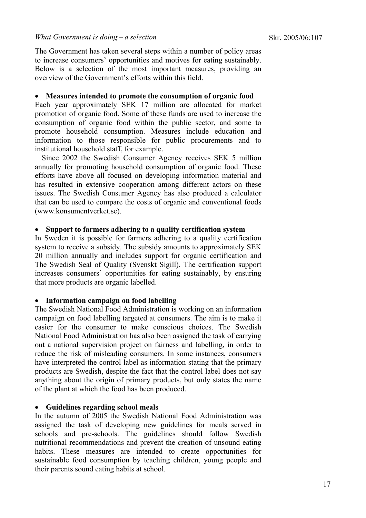The Government has taken several steps within a number of policy areas to increase consumers' opportunities and motives for eating sustainably. Below is a selection of the most important measures, providing an overview of the Government's efforts within this field.

#### • **Measures intended to promote the consumption of organic food**

Each year approximately SEK 17 million are allocated for market promotion of organic food. Some of these funds are used to increase the consumption of organic food within the public sector, and some to promote household consumption. Measures include education and information to those responsible for public procurements and to institutional household staff, for example.

Since 2002 the Swedish Consumer Agency receives SEK 5 million annually for promoting household consumption of organic food. These efforts have above all focused on developing information material and has resulted in extensive cooperation among different actors on these issues. The Swedish Consumer Agency has also produced a calculator that can be used to compare the costs of organic and conventional foods (www.konsumentverket.se).

#### • **Support to farmers adhering to a quality certification system**

In Sweden it is possible for farmers adhering to a quality certification system to receive a subsidy. The subsidy amounts to approximately SEK 20 million annually and includes support for organic certification and The Swedish Seal of Quality (Svenskt Sigill). The certification support increases consumers' opportunities for eating sustainably, by ensuring that more products are organic labelled.

#### • **Information campaign on food labelling**

The Swedish National Food Administration is working on an information campaign on food labelling targeted at consumers. The aim is to make it easier for the consumer to make conscious choices. The Swedish National Food Administration has also been assigned the task of carrying out a national supervision project on fairness and labelling, in order to reduce the risk of misleading consumers. In some instances, consumers have interpreted the control label as information stating that the primary products are Swedish, despite the fact that the control label does not say anything about the origin of primary products, but only states the name of the plant at which the food has been produced.

#### • **Guidelines regarding school meals**

In the autumn of 2005 the Swedish National Food Administration was assigned the task of developing new guidelines for meals served in schools and pre-schools. The guidelines should follow Swedish nutritional recommendations and prevent the creation of unsound eating habits. These measures are intended to create opportunities for sustainable food consumption by teaching children, young people and their parents sound eating habits at school.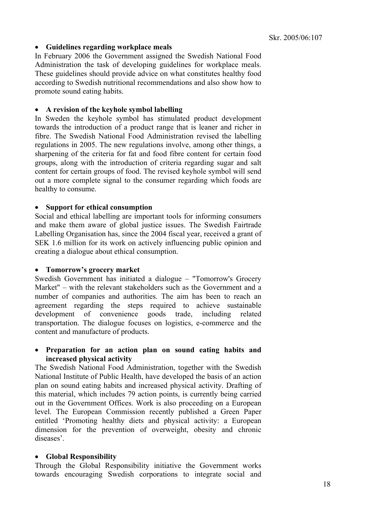### • **Guidelines regarding workplace meals**

In February 2006 the Government assigned the Swedish National Food Administration the task of developing guidelines for workplace meals. These guidelines should provide advice on what constitutes healthy food according to Swedish nutritional recommendations and also show how to promote sound eating habits.

#### • **A revision of the keyhole symbol labelling**

In Sweden the keyhole symbol has stimulated product development towards the introduction of a product range that is leaner and richer in fibre. The Swedish National Food Administration revised the labelling regulations in 2005. The new regulations involve, among other things, a sharpening of the criteria for fat and food fibre content for certain food groups, along with the introduction of criteria regarding sugar and salt content for certain groups of food. The revised keyhole symbol will send out a more complete signal to the consumer regarding which foods are healthy to consume.

### • **Support for ethical consumption**

Social and ethical labelling are important tools for informing consumers and make them aware of global justice issues. The Swedish Fairtrade Labelling Organisation has, since the 2004 fiscal year, received a grant of SEK 1.6 million for its work on actively influencing public opinion and creating a dialogue about ethical consumption.

# • **Tomorrow's grocery market**

Swedish Government has initiated a dialogue – "Tomorrow's Grocery Market" – with the relevant stakeholders such as the Government and a number of companies and authorities. The aim has been to reach an agreement regarding the steps required to achieve sustainable development of convenience goods trade, including related transportation. The dialogue focuses on logistics, e-commerce and the content and manufacture of products.

# • **Preparation for an action plan on sound eating habits and increased physical activity**

The Swedish National Food Administration, together with the Swedish National Institute of Public Health, have developed the basis of an action plan on sound eating habits and increased physical activity. Drafting of this material, which includes 79 action points, is currently being carried out in the Government Offices. Work is also proceeding on a European level. The European Commission recently published a Green Paper entitled 'Promoting healthy diets and physical activity: a European dimension for the prevention of overweight, obesity and chronic diseases'.

#### • **Global Responsibility**

Through the Global Responsibility initiative the Government works towards encouraging Swedish corporations to integrate social and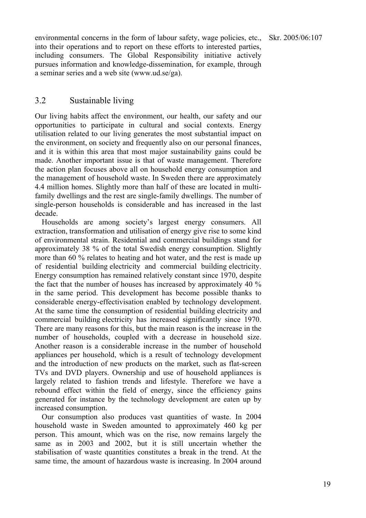environmental concerns in the form of labour safety, wage policies, etc., into their operations and to report on these efforts to interested parties, including consumers. The Global Responsibility initiative actively pursues information and knowledge-dissemination, for example, through a seminar series and a web site (www.ud.se/ga).

# 3.2 Sustainable living

Our living habits affect the environment, our health, our safety and our opportunities to participate in cultural and social contexts. Energy utilisation related to our living generates the most substantial impact on the environment, on society and frequently also on our personal finances, and it is within this area that most major sustainability gains could be made. Another important issue is that of waste management. Therefore the action plan focuses above all on household energy consumption and the management of household waste. In Sweden there are approximately 4.4 million homes. Slightly more than half of these are located in multifamily dwellings and the rest are single-family dwellings. The number of single-person households is considerable and has increased in the last decade.

Households are among society's largest energy consumers. All extraction, transformation and utilisation of energy give rise to some kind of environmental strain. Residential and commercial buildings stand for approximately 38 % of the total Swedish energy consumption. Slightly more than 60 % relates to heating and hot water, and the rest is made up of residential building electricity and commercial building electricity. Energy consumption has remained relatively constant since 1970, despite the fact that the number of houses has increased by approximately 40 % in the same period. This development has become possible thanks to considerable energy-effectivisation enabled by technology development. At the same time the consumption of residential building electricity and commercial building electricity has increased significantly since 1970. There are many reasons for this, but the main reason is the increase in the number of households, coupled with a decrease in household size. Another reason is a considerable increase in the number of household appliances per household, which is a result of technology development and the introduction of new products on the market, such as flat-screen TVs and DVD players. Ownership and use of household appliances is largely related to fashion trends and lifestyle. Therefore we have a rebound effect within the field of energy, since the efficiency gains generated for instance by the technology development are eaten up by increased consumption.

Our consumption also produces vast quantities of waste. In 2004 household waste in Sweden amounted to approximately 460 kg per person. This amount, which was on the rise, now remains largely the same as in 2003 and 2002, but it is still uncertain whether the stabilisation of waste quantities constitutes a break in the trend. At the same time, the amount of hazardous waste is increasing. In 2004 around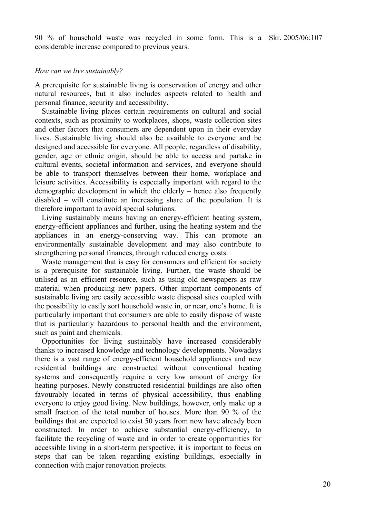90 % of household waste was recycled in some form. This is a Skr. 2005/06:107 considerable increase compared to previous years.

#### *How can we live sustainably?*

A prerequisite for sustainable living is conservation of energy and other natural resources, but it also includes aspects related to health and personal finance, security and accessibility.

Sustainable living places certain requirements on cultural and social contexts, such as proximity to workplaces, shops, waste collection sites and other factors that consumers are dependent upon in their everyday lives. Sustainable living should also be available to everyone and be designed and accessible for everyone. All people, regardless of disability, gender, age or ethnic origin, should be able to access and partake in cultural events, societal information and services, and everyone should be able to transport themselves between their home, workplace and leisure activities. Accessibility is especially important with regard to the demographic development in which the elderly – hence also frequently disabled – will constitute an increasing share of the population. It is therefore important to avoid special solutions.

Living sustainably means having an energy-efficient heating system, energy-efficient appliances and further, using the heating system and the appliances in an energy-conserving way. This can promote an environmentally sustainable development and may also contribute to strengthening personal finances, through reduced energy costs.

Waste management that is easy for consumers and efficient for society is a prerequisite for sustainable living. Further, the waste should be utilised as an efficient resource, such as using old newspapers as raw material when producing new papers. Other important components of sustainable living are easily accessible waste disposal sites coupled with the possibility to easily sort household waste in, or near, one's home. It is particularly important that consumers are able to easily dispose of waste that is particularly hazardous to personal health and the environment, such as paint and chemicals.

Opportunities for living sustainably have increased considerably thanks to increased knowledge and technology developments. Nowadays there is a vast range of energy-efficient household appliances and new residential buildings are constructed without conventional heating systems and consequently require a very low amount of energy for heating purposes. Newly constructed residential buildings are also often favourably located in terms of physical accessibility, thus enabling everyone to enjoy good living. New buildings, however, only make up a small fraction of the total number of houses. More than 90 % of the buildings that are expected to exist 50 years from now have already been constructed. In order to achieve substantial energy-efficiency, to facilitate the recycling of waste and in order to create opportunities for accessible living in a short-term perspective, it is important to focus on steps that can be taken regarding existing buildings, especially in connection with major renovation projects.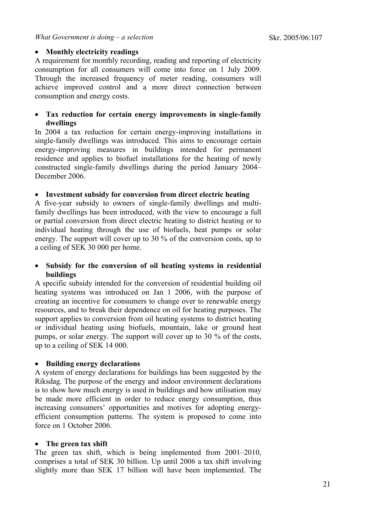# • **Monthly electricity readings**

A requirement for monthly recording, reading and reporting of electricity consumption for all consumers will come into force on 1 July 2009. Through the increased frequency of meter reading, consumers will achieve improved control and a more direct connection between consumption and energy costs.

# • **Tax reduction for certain energy improvements in single-family dwellings**

In 2004 a tax reduction for certain energy-improving installations in single-family dwellings was introduced. This aims to encourage certain energy-improving measures in buildings intended for permanent residence and applies to biofuel installations for the heating of newly constructed single-family dwellings during the period January 2004– December 2006.

# • **Investment subsidy for conversion from direct electric heating**

A five-year subsidy to owners of single-family dwellings and multifamily dwellings has been introduced, with the view to encourage a full or partial conversion from direct electric heating to district heating or to individual heating through the use of biofuels, heat pumps or solar energy. The support will cover up to 30 % of the conversion costs, up to a ceiling of SEK 30 000 per home.

# • **Subsidy for the conversion of oil heating systems in residential buildings**

A specific subsidy intended for the conversion of residential building oil heating systems was introduced on Jan 1 2006, with the purpose of creating an incentive for consumers to change over to renewable energy resources, and to break their dependence on oil for heating purposes. The support applies to conversion from oil heating systems to district heating or individual heating using biofuels, mountain, lake or ground heat pumps, or solar energy. The support will cover up to 30 % of the costs, up to a ceiling of SEK 14 000.

# • **Building energy declarations**

A system of energy declarations for buildings has been suggested by the Riksdag. The purpose of the energy and indoor environment declarations is to show how much energy is used in buildings and how utilisation may be made more efficient in order to reduce energy consumption, thus increasing consumers' opportunities and motives for adopting energyefficient consumption patterns. The system is proposed to come into force on 1 October 2006.

# • **The green tax shift**

The green tax shift, which is being implemented from 2001–2010, comprises a total of SEK 30 billion. Up until 2006 a tax shift involving slightly more than SEK 17 billion will have been implemented. The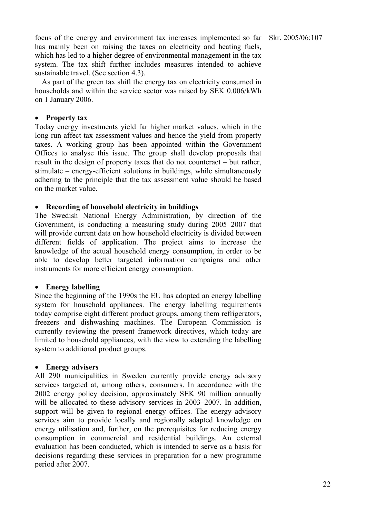focus of the energy and environment tax increases implemented so far has mainly been on raising the taxes on electricity and heating fuels, which has led to a higher degree of environmental management in the tax system. The tax shift further includes measures intended to achieve sustainable travel. (See section 4.3).

As part of the green tax shift the energy tax on electricity consumed in households and within the service sector was raised by SEK 0.006/kWh on 1 January 2006.

## • **Property tax**

Today energy investments yield far higher market values, which in the long run affect tax assessment values and hence the yield from property taxes. A working group has been appointed within the Government Offices to analyse this issue. The group shall develop proposals that result in the design of property taxes that do not counteract – but rather, stimulate – energy-efficient solutions in buildings, while simultaneously adhering to the principle that the tax assessment value should be based on the market value.

### • **Recording of household electricity in buildings**

The Swedish National Energy Administration, by direction of the Government, is conducting a measuring study during 2005–2007 that will provide current data on how household electricity is divided between different fields of application. The project aims to increase the knowledge of the actual household energy consumption, in order to be able to develop better targeted information campaigns and other instruments for more efficient energy consumption.

#### • **Energy labelling**

Since the beginning of the 1990s the EU has adopted an energy labelling system for household appliances. The energy labelling requirements today comprise eight different product groups, among them refrigerators, freezers and dishwashing machines. The European Commission is currently reviewing the present framework directives, which today are limited to household appliances, with the view to extending the labelling system to additional product groups.

# • **Energy advisers**

All 290 municipalities in Sweden currently provide energy advisory services targeted at, among others, consumers. In accordance with the 2002 energy policy decision, approximately SEK 90 million annually will be allocated to these advisory services in 2003–2007. In addition, support will be given to regional energy offices. The energy advisory services aim to provide locally and regionally adapted knowledge on energy utilisation and, further, on the prerequisites for reducing energy consumption in commercial and residential buildings. An external evaluation has been conducted, which is intended to serve as a basis for decisions regarding these services in preparation for a new programme period after 2007.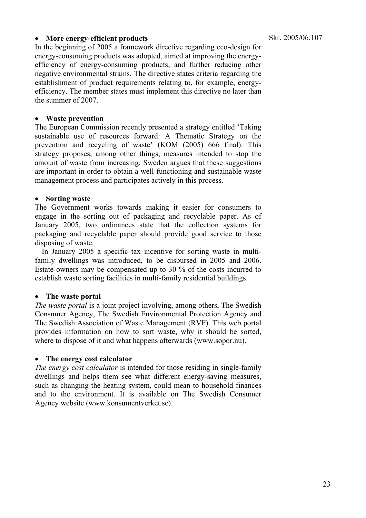## • **More energy-efficient products**

In the beginning of 2005 a framework directive regarding eco-design for energy-consuming products was adopted, aimed at improving the energyefficiency of energy-consuming products, and further reducing other negative environmental strains. The directive states criteria regarding the establishment of product requirements relating to, for example, energyefficiency. The member states must implement this directive no later than the summer of 2007.

## • **Waste prevention**

The European Commission recently presented a strategy entitled 'Taking sustainable use of resources forward: A Thematic Strategy on the prevention and recycling of waste' (KOM (2005) 666 final). This strategy proposes, among other things, measures intended to stop the amount of waste from increasing. Sweden argues that these suggestions are important in order to obtain a well-functioning and sustainable waste management process and participates actively in this process.

### • **Sorting waste**

The Government works towards making it easier for consumers to engage in the sorting out of packaging and recyclable paper. As of January 2005, two ordinances state that the collection systems for packaging and recyclable paper should provide good service to those disposing of waste.

In January 2005 a specific tax incentive for sorting waste in multifamily dwellings was introduced, to be disbursed in 2005 and 2006. Estate owners may be compensated up to 30 % of the costs incurred to establish waste sorting facilities in multi-family residential buildings.

#### • **The waste portal**

*The waste portal* is a joint project involving, among others, The Swedish Consumer Agency, The Swedish Environmental Protection Agency and The Swedish Association of Waste Management (RVF). This web portal provides information on how to sort waste, why it should be sorted, where to dispose of it and what happens afterwards (www.sopor.nu).

# • **The energy cost calculator**

*The energy cost calculator* is intended for those residing in single-family dwellings and helps them see what different energy-saving measures, such as changing the heating system, could mean to household finances and to the environment. It is available on The Swedish Consumer Agency website (www.konsumentverket.se).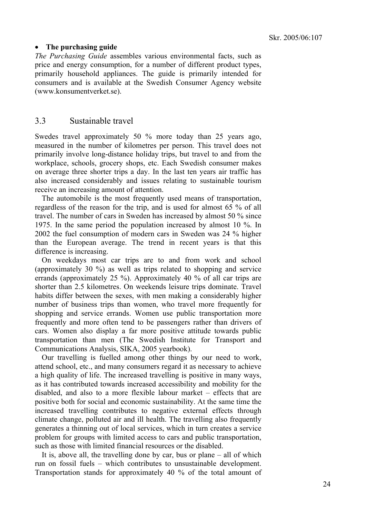#### • **The purchasing guide**

*The Purchasing Guide* assembles various environmental facts, such as price and energy consumption, for a number of different product types, primarily household appliances. The guide is primarily intended for consumers and is available at the Swedish Consumer Agency website (www.konsumentverket.se).

# 3.3 Sustainable travel

Swedes travel approximately 50 % more today than 25 years ago, measured in the number of kilometres per person. This travel does not primarily involve long-distance holiday trips, but travel to and from the workplace, schools, grocery shops, etc. Each Swedish consumer makes on average three shorter trips a day. In the last ten years air traffic has also increased considerably and issues relating to sustainable tourism receive an increasing amount of attention.

The automobile is the most frequently used means of transportation, regardless of the reason for the trip, and is used for almost 65 % of all travel. The number of cars in Sweden has increased by almost 50 % since 1975. In the same period the population increased by almost 10 %. In 2002 the fuel consumption of modern cars in Sweden was 24 % higher than the European average. The trend in recent years is that this difference is increasing.

On weekdays most car trips are to and from work and school (approximately 30 %) as well as trips related to shopping and service errands (approximately 25 %). Approximately 40 % of all car trips are shorter than 2.5 kilometres. On weekends leisure trips dominate. Travel habits differ between the sexes, with men making a considerably higher number of business trips than women, who travel more frequently for shopping and service errands. Women use public transportation more frequently and more often tend to be passengers rather than drivers of cars. Women also display a far more positive attitude towards public transportation than men (The Swedish Institute for Transport and Communications Analysis, SIKA, 2005 yearbook).

Our travelling is fuelled among other things by our need to work, attend school, etc., and many consumers regard it as necessary to achieve a high quality of life. The increased travelling is positive in many ways, as it has contributed towards increased accessibility and mobility for the disabled, and also to a more flexible labour market – effects that are positive both for social and economic sustainability. At the same time the increased travelling contributes to negative external effects through climate change, polluted air and ill health. The travelling also frequently generates a thinning out of local services, which in turn creates a service problem for groups with limited access to cars and public transportation, such as those with limited financial resources or the disabled.

It is, above all, the travelling done by car, bus or plane – all of which run on fossil fuels – which contributes to unsustainable development. Transportation stands for approximately 40 % of the total amount of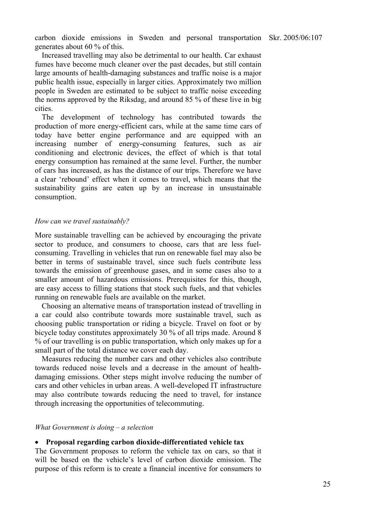carbon dioxide emissions in Sweden and personal transportation Skr. 2005/06:107 generates about 60 % of this.

Increased travelling may also be detrimental to our health. Car exhaust fumes have become much cleaner over the past decades, but still contain large amounts of health-damaging substances and traffic noise is a major public health issue, especially in larger cities. Approximately two million people in Sweden are estimated to be subject to traffic noise exceeding the norms approved by the Riksdag, and around 85 % of these live in big cities.

The development of technology has contributed towards the production of more energy-efficient cars, while at the same time cars of today have better engine performance and are equipped with an increasing number of energy-consuming features, such as air conditioning and electronic devices, the effect of which is that total energy consumption has remained at the same level. Further, the number of cars has increased, as has the distance of our trips. Therefore we have a clear 'rebound' effect when it comes to travel, which means that the sustainability gains are eaten up by an increase in unsustainable consumption.

#### *How can we travel sustainably?*

More sustainable travelling can be achieved by encouraging the private sector to produce, and consumers to choose, cars that are less fuelconsuming. Travelling in vehicles that run on renewable fuel may also be better in terms of sustainable travel, since such fuels contribute less towards the emission of greenhouse gases, and in some cases also to a smaller amount of hazardous emissions. Prerequisites for this, though, are easy access to filling stations that stock such fuels, and that vehicles running on renewable fuels are available on the market.

Choosing an alternative means of transportation instead of travelling in a car could also contribute towards more sustainable travel, such as choosing public transportation or riding a bicycle. Travel on foot or by bicycle today constitutes approximately 30 % of all trips made. Around 8 % of our travelling is on public transportation, which only makes up for a small part of the total distance we cover each day.

Measures reducing the number cars and other vehicles also contribute towards reduced noise levels and a decrease in the amount of healthdamaging emissions. Other steps might involve reducing the number of cars and other vehicles in urban areas. A well-developed IT infrastructure may also contribute towards reducing the need to travel, for instance through increasing the opportunities of telecommuting.

#### *What Government is doing – a selection*

#### • **Proposal regarding carbon dioxide-differentiated vehicle tax**

The Government proposes to reform the vehicle tax on cars, so that it will be based on the vehicle's level of carbon dioxide emission. The purpose of this reform is to create a financial incentive for consumers to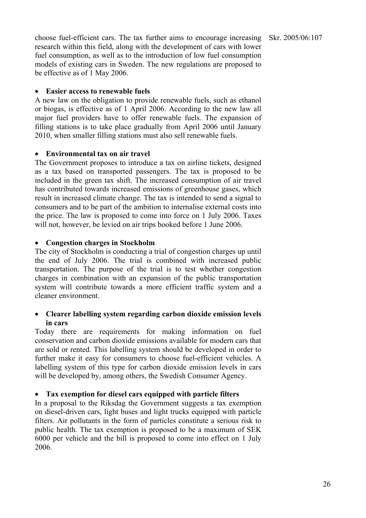choose fuel-efficient cars. The tax further aims to encourage increasing research within this field, along with the development of cars with lower fuel consumption, as well as to the introduction of low fuel consumption models of existing cars in Sweden. The new regulations are proposed to be effective as of 1 May 2006.

### • **Easier access to renewable fuels**

A new law on the obligation to provide renewable fuels, such as ethanol or biogas, is effective as of 1 April 2006. According to the new law all major fuel providers have to offer renewable fuels. The expansion of filling stations is to take place gradually from April 2006 until January 2010, when smaller filling stations must also sell renewable fuels.

### • **Environmental tax on air travel**

The Government proposes to introduce a tax on airline tickets, designed as a tax based on transported passengers. The tax is proposed to be included in the green tax shift. The increased consumption of air travel has contributed towards increased emissions of greenhouse gases, which result in increased climate change. The tax is intended to send a signal to consumers and to be part of the ambition to internalise external costs into the price. The law is proposed to come into force on 1 July 2006. Taxes will not, however, be levied on air trips booked before 1 June 2006.

### • **Congestion charges in Stockholm**

The city of Stockholm is conducting a trial of congestion charges up until the end of July 2006. The trial is combined with increased public transportation. The purpose of the trial is to test whether congestion charges in combination with an expansion of the public transportation system will contribute towards a more efficient traffic system and a cleaner environment.

# • **Clearer labelling system regarding carbon dioxide emission levels in cars**

Today there are requirements for making information on fuel conservation and carbon dioxide emissions available for modern cars that are sold or rented. This labelling system should be developed in order to further make it easy for consumers to choose fuel-efficient vehicles. A labelling system of this type for carbon dioxide emission levels in cars will be developed by, among others, the Swedish Consumer Agency.

# • **Tax exemption for diesel cars equipped with particle filters**

In a proposal to the Riksdag the Government suggests a tax exemption on diesel-driven cars, light buses and light trucks equipped with particle filters. Air pollutants in the form of particles constitute a serious risk to public health. The tax exemption is proposed to be a maximum of SEK 6000 per vehicle and the bill is proposed to come into effect on 1 July 2006.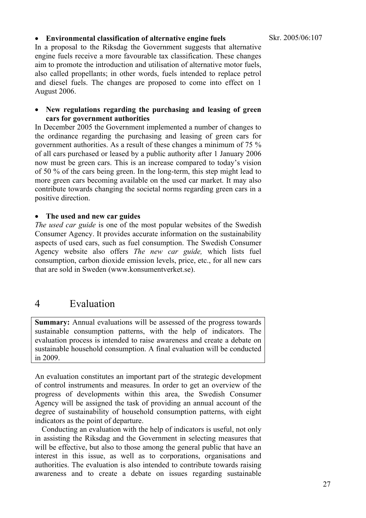#### Skr. 2005/06:107

### • **Environmental classification of alternative engine fuels**

In a proposal to the Riksdag the Government suggests that alternative engine fuels receive a more favourable tax classification. These changes aim to promote the introduction and utilisation of alternative motor fuels, also called propellants; in other words, fuels intended to replace petrol and diesel fuels. The changes are proposed to come into effect on 1 August 2006.

### • **New regulations regarding the purchasing and leasing of green cars for government authorities**

In December 2005 the Government implemented a number of changes to the ordinance regarding the purchasing and leasing of green cars for government authorities. As a result of these changes a minimum of 75 % of all cars purchased or leased by a public authority after 1 January 2006 now must be green cars. This is an increase compared to today's vision of 50 % of the cars being green. In the long-term, this step might lead to more green cars becoming available on the used car market. It may also contribute towards changing the societal norms regarding green cars in a positive direction.

### • **The used and new car guides**

*The used car guide* is one of the most popular websites of the Swedish Consumer Agency. It provides accurate information on the sustainability aspects of used cars, such as fuel consumption. The Swedish Consumer Agency website also offers *The new car guide,* which lists fuel consumption, carbon dioxide emission levels, price, etc., for all new cars that are sold in Sweden (www.konsumentverket.se).

# 4 Evaluation

**Summary:** Annual evaluations will be assessed of the progress towards sustainable consumption patterns, with the help of indicators. The evaluation process is intended to raise awareness and create a debate on sustainable household consumption. A final evaluation will be conducted in 2009.

An evaluation constitutes an important part of the strategic development of control instruments and measures. In order to get an overview of the progress of developments within this area, the Swedish Consumer Agency will be assigned the task of providing an annual account of the degree of sustainability of household consumption patterns, with eight indicators as the point of departure.

Conducting an evaluation with the help of indicators is useful, not only in assisting the Riksdag and the Government in selecting measures that will be effective, but also to those among the general public that have an interest in this issue, as well as to corporations, organisations and authorities. The evaluation is also intended to contribute towards raising awareness and to create a debate on issues regarding sustainable